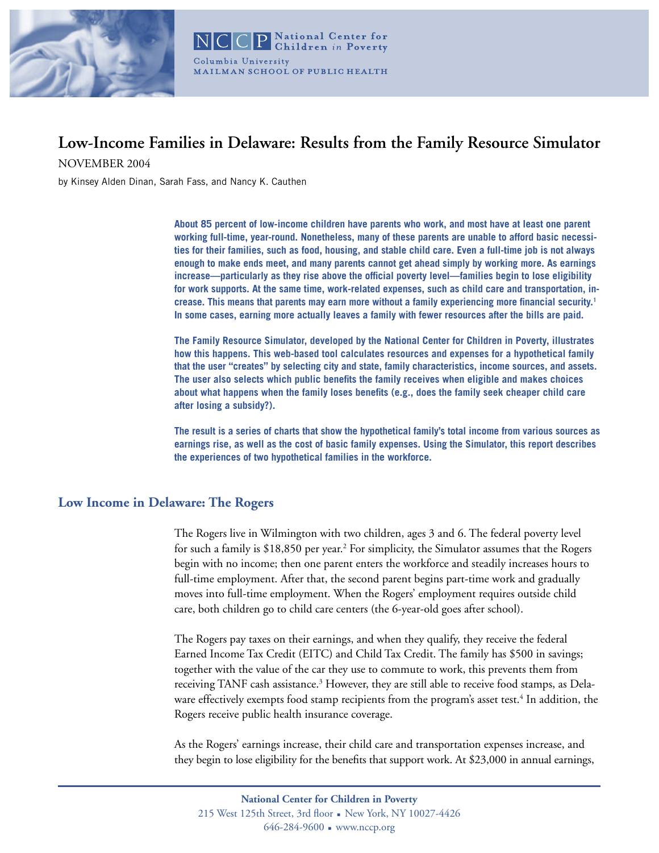

# **Low-Income Families in Delaware: Results from the Family Resource Simulator**

NOVEMBER 2004

by Kinsey Alden Dinan, Sarah Fass, and Nancy K. Cauthen

**About 85 percent of low-income children have parents who work, and most have at least one parent working full-time, year-round. Nonetheless, many of these parents are unable to afford basic necessities for their families, such as food, housing, and stable child care. Even a full-time job is not always enough to make ends meet, and many parents cannot get ahead simply by working more. As earnings increase—particularly as they rise above the official poverty level—families begin to lose eligibility for work supports. At the same time, work-related expenses, such as child care and transportation, increase. This means that parents may earn more without a family experiencing more financial security.1 In some cases, earning more actually leaves a family with fewer resources after the bills are paid.** 

**The Family Resource Simulator, developed by the National Center for Children in Poverty, illustrates how this happens. This web-based tool calculates resources and expenses for a hypothetical family that the user "creates" by selecting city and state, family characteristics, income sources, and assets. The user also selects which public benefits the family receives when eligible and makes choices about what happens when the family loses benefits (e.g., does the family seek cheaper child care after losing a subsidy?).** 

**The result is a series of charts that show the hypothetical family's total income from various sources as earnings rise, as well as the cost of basic family expenses. Using the Simulator, this report describes the experiences of two hypothetical families in the workforce.**

# **Low Income in Delaware: The Rogers**

The Rogers live in Wilmington with two children, ages 3 and 6. The federal poverty level for such a family is \$18,850 per year.<sup>2</sup> For simplicity, the Simulator assumes that the Rogers begin with no income; then one parent enters the workforce and steadily increases hours to full-time employment. After that, the second parent begins part-time work and gradually moves into full-time employment. When the Rogers' employment requires outside child care, both children go to child care centers (the 6-year-old goes after school).

The Rogers pay taxes on their earnings, and when they qualify, they receive the federal Earned Income Tax Credit (EITC) and Child Tax Credit. The family has \$500 in savings; together with the value of the car they use to commute to work, this prevents them from receiving TANF cash assistance.<sup>3</sup> However, they are still able to receive food stamps, as Delaware effectively exempts food stamp recipients from the program's asset test.<sup>4</sup> In addition, the Rogers receive public health insurance coverage.

As the Rogers' earnings increase, their child care and transportation expenses increase, and they begin to lose eligibility for the benefits that support work. At \$23,000 in annual earnings,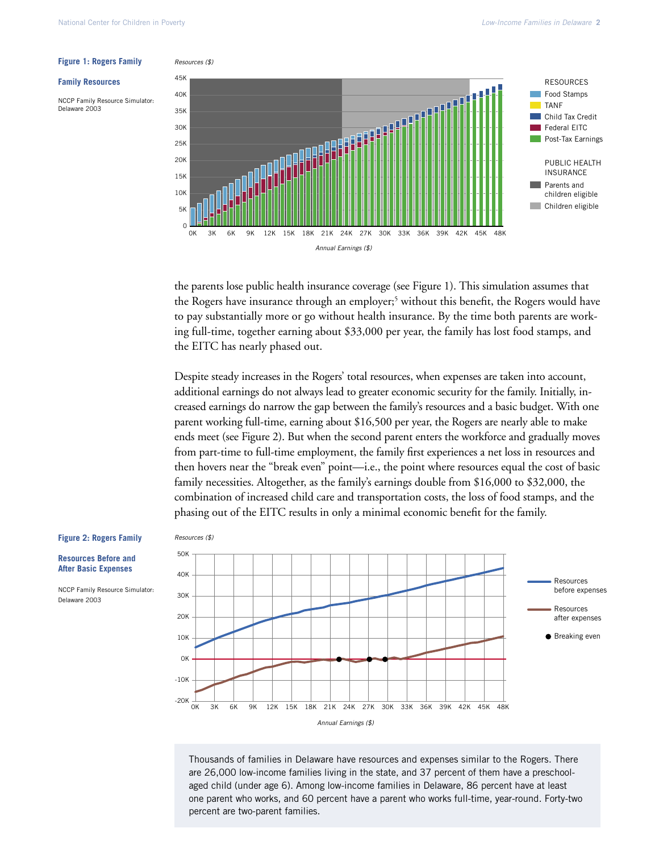#### **Family Resources**

NCCP Family Resource Simulator: Delaware 2003



the parents lose public health insurance coverage (see Figure 1). This simulation assumes that the Rogers have insurance through an employer;<sup>5</sup> without this benefit, the Rogers would have to pay substantially more or go without health insurance. By the time both parents are working full-time, together earning about \$33,000 per year, the family has lost food stamps, and the EITC has nearly phased out.

Despite steady increases in the Rogers' total resources, when expenses are taken into account, additional earnings do not always lead to greater economic security for the family. Initially, increased earnings do narrow the gap between the family's resources and a basic budget. With one parent working full-time, earning about \$16,500 per year, the Rogers are nearly able to make ends meet (see Figure 2). But when the second parent enters the workforce and gradually moves from part-time to full-time employment, the family first experiences a net loss in resources and then hovers near the "break even" point—i.e., the point where resources equal the cost of basic family necessities. Altogether, as the family's earnings double from \$16,000 to \$32,000, the combination of increased child care and transportation costs, the loss of food stamps, and the phasing out of the EITC results in only a minimal economic benefit for the family.

#### **Figure 2: Rogers Family**

**Resources Before and After Basic Expenses**

NCCP Family Resource Simulator: Delaware 2003





Thousands of families in Delaware have resources and expenses similar to the Rogers. There are 26,000 low-income families living in the state, and 37 percent of them have a preschoolaged child (under age 6). Among low-income families in Delaware, 86 percent have at least one parent who works, and 60 percent have a parent who works full-time, year-round. Forty-two percent are two-parent families.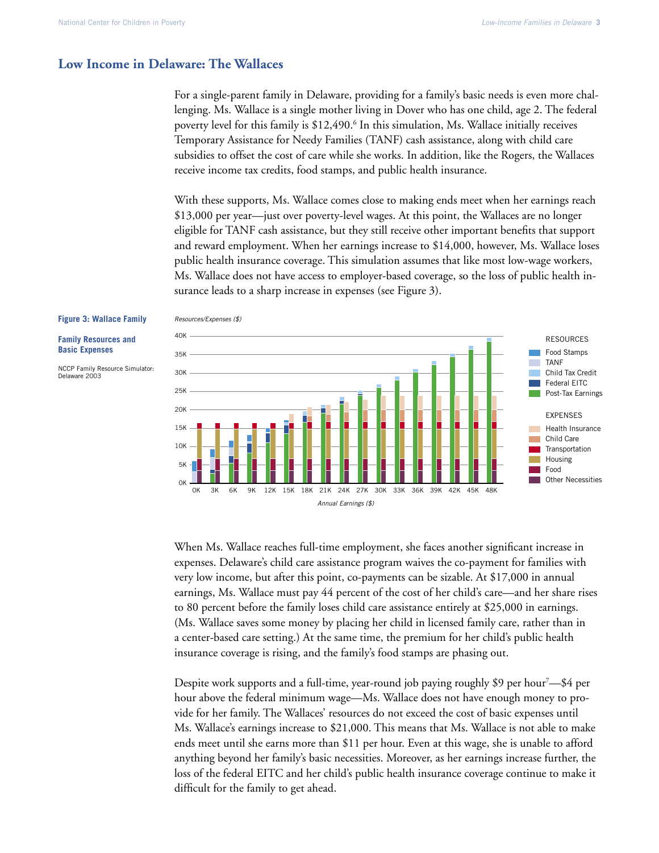**Family Resources and Basic Expenses**

Delaware 2003

NCCP Family Resource Simulator:

#### **Low Income in Delaware: The Wallaces**

For a single-parent family in Delaware, providing for a family's basic needs is even more challenging. Ms. Wallace is a single mother living in Dover who has one child, age 2. The federal poverty level for this family is \$12,490.<sup>6</sup> In this simulation, Ms. Wallace initially receives Temporary Assistance for Needy Families (TANF) cash assistance, along with child care subsidies to offset the cost of care while she works. In addition, like the Rogers, the Wallaces receive income tax credits, food stamps, and public health insurance.

With these supports, Ms. Wallace comes close to making ends meet when her earnings reach \$13,000 per year—just over poverty-level wages. At this point, the Wallaces are no longer eligible for TANF cash assistance, but they still receive other important benefits that support and reward employment. When her earnings increase to \$14,000, however, Ms. Wallace loses public health insurance coverage. This simulation assumes that like most low-wage workers, Ms. Wallace does not have access to employer-based coverage, so the loss of public health insurance leads to a sharp increase in expenses (see Figure 3).



#### Resources/Expenses (\$) **Figure 3: Wallace Family**

When Ms. Wallace reaches full-time employment, she faces another significant increase in expenses. Delaware's child care assistance program waives the co-payment for families with very low income, but after this point, co-payments can be sizable. At \$17,000 in annual earnings, Ms. Wallace must pay 44 percent of the cost of her child's care—and her share rises to 80 percent before the family loses child care assistance entirely at \$25,000 in earnings. (Ms. Wallace saves some money by placing her child in licensed family care, rather than in a center-based care setting.) At the same time, the premium for her child's public health insurance coverage is rising, and the family's food stamps are phasing out.

Despite work supports and a full-time, year-round job paying roughly \$9 per hour<sup>7</sup>—\$4 per hour above the federal minimum wage—Ms. Wallace does not have enough money to provide for her family. The Wallaces' resources do not exceed the cost of basic expenses until Ms. Wallace's earnings increase to \$21,000. This means that Ms. Wallace is not able to make ends meet until she earns more than \$11 per hour. Even at this wage, she is unable to afford anything beyond her family's basic necessities. Moreover, as her earnings increase further, the loss of the federal EITC and her child's public health insurance coverage continue to make it difficult for the family to get ahead.